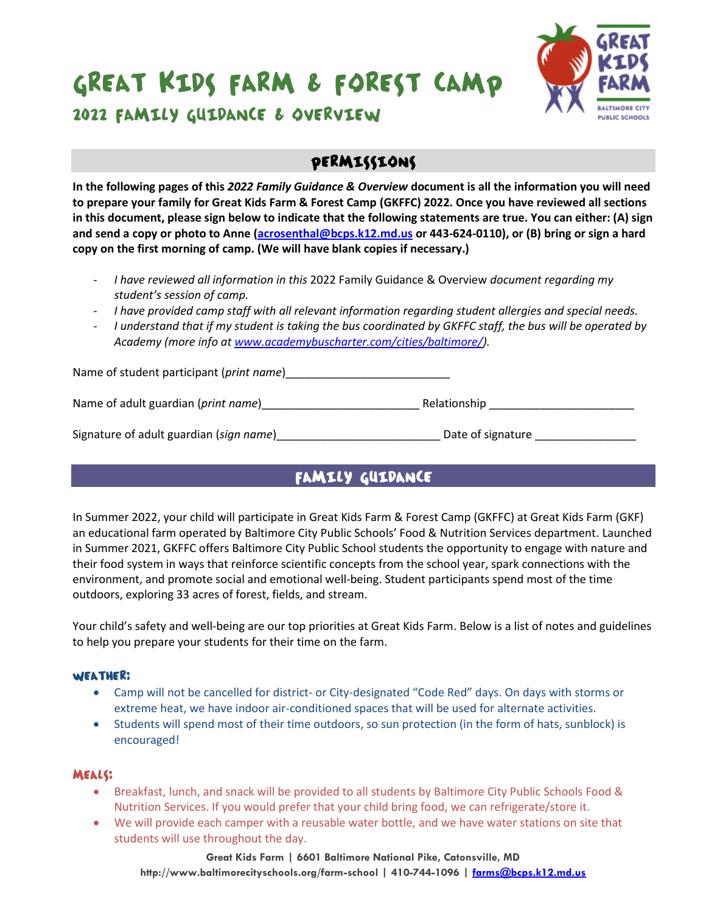

2022 FAMILY GUIDANCE & OVERVIEW

### PERMISSIONS

**In the following pages of this** *2022 Family Guidance & Overview* **document is all the information you will need to prepare your family for Great Kids Farm & Forest Camp (GKFFC) 2022. Once you have reviewed all sections in this document, please sign below to indicate that the following statements are true. You can either: (A) sign and send a copy or photo to Anne [\(acrosenthal@bcps.k12.md.us](mailto:acrosenthal@bcps.k12.md.us) or 443-624-0110), or (B) bring or sign a hard copy on the first morning of camp. (We will have blank copies if necessary.)**

- *I have reviewed all information in this* 2022 Family Guidance & Overview *document regarding my student's session of camp.*
- *I have provided camp staff with all relevant information regarding student allergies and special needs.*
- *I understand that if my student is taking the bus coordinated by GKFFC staff, the bus will be operated by Academy (more info at [www.academybuscharter.com/cities/baltimore/\)](http://www.academybuscharter.com/cities/baltimore/).*

| Name of student participant (print name)     |                   |
|----------------------------------------------|-------------------|
| Name of adult guardian ( <i>print name</i> ) | Relationship      |
| Signature of adult guardian (sign name)      | Date of signature |

## **FAMILY GUIDANCE**

In Summer 2022, your child will participate in Great Kids Farm & Forest Camp (GKFFC) at Great Kids Farm (GKF) an educational farm operated by Baltimore City Public Schools' Food & Nutrition Services department. Launched in Summer 2021, GKFFC offers Baltimore City Public School students the opportunity to engage with nature and their food system in ways that reinforce scientific concepts from the school year, spark connections with the environment, and promote social and emotional well-being. Student participants spend most of the time outdoors, exploring 33 acres of forest, fields, and stream.

Your child's safety and well-being are our top priorities at Great Kids Farm. Below is a list of notes and guidelines to help you prepare your students for their time on the farm.

#### WEATHER:

- Camp will not be cancelled for district- or City-designated "Code Red" days. On days with storms or extreme heat, we have indoor air-conditioned spaces that will be used for alternate activities.
- Students will spend most of their time outdoors, so sun protection (in the form of hats, sunblock) is encouraged!

#### **MEALS:**

- Breakfast, lunch, and snack will be provided to all students by Baltimore City Public Schools Food & Nutrition Services. If you would prefer that your child bring food, we can refrigerate/store it.
- We will provide each camper with a reusable water bottle, and we have water stations on site that students will use throughout the day.

**Great Kids Farm | 6601 Baltimore National Pike, Catonsville, MD http://www.baltimorecityschools.org/farm-school | 410-744-1096 | [farms@bcps.k12.md.us](mailto:farms@bcps.k12.md.us)**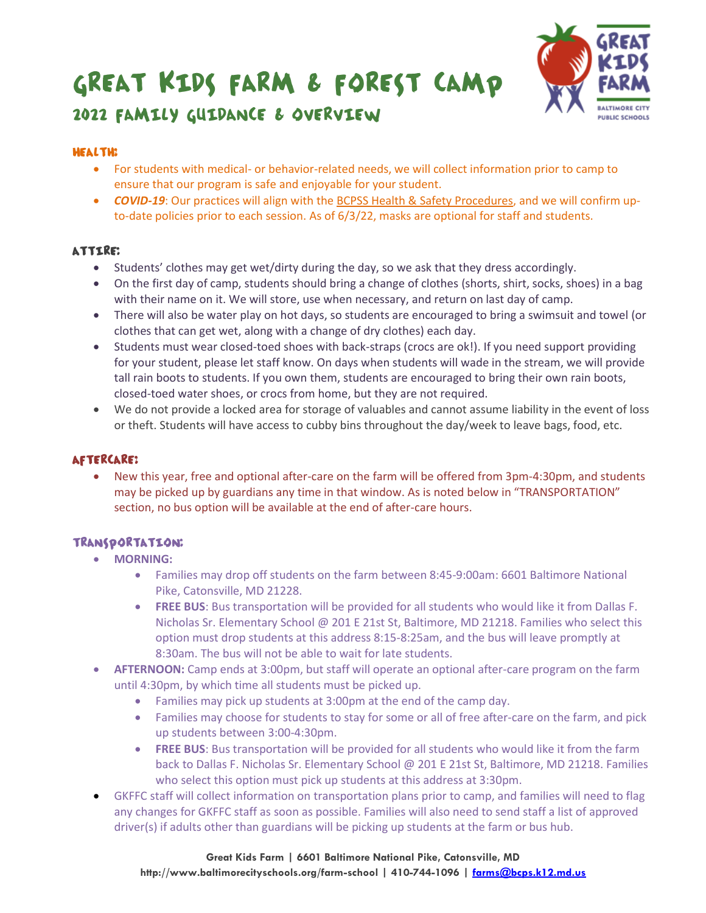

# 2022 FAMILY GUIDANCE & OVERVIEW

#### **HEALTH?**

- For students with medical- or behavior-related needs, we will collect information prior to camp to ensure that our program is safe and enjoyable for your student.
- *COVID-19*: Our practices will align with the [BCPSS Health & Safety Procedures](https://www.baltimorecityschools.org/safety-procedures), and we will confirm upto-date policies prior to each session. As of 6/3/22, masks are optional for staff and students.

#### **ATTIRE:**

- Students' clothes may get wet/dirty during the day, so we ask that they dress accordingly.
- On the first day of camp, students should bring a change of clothes (shorts, shirt, socks, shoes) in a bag with their name on it. We will store, use when necessary, and return on last day of camp.
- There will also be water play on hot days, so students are encouraged to bring a swimsuit and towel (or clothes that can get wet, along with a change of dry clothes) each day.
- Students must wear closed-toed shoes with back-straps (crocs are ok!). If you need support providing for your student, please let staff know. On days when students will wade in the stream, we will provide tall rain boots to students. If you own them, students are encouraged to bring their own rain boots, closed-toed water shoes, or crocs from home, but they are not required.
- We do not provide a locked area for storage of valuables and cannot assume liability in the event of loss or theft. Students will have access to cubby bins throughout the day/week to leave bags, food, etc.

#### **AFTERCARE?**

• New this year, free and optional after-care on the farm will be offered from 3pm-4:30pm, and students may be picked up by guardians any time in that window. As is noted below in "TRANSPORTATION" section, no bus option will be available at the end of after-care hours.

#### TRANSPORTATION:

- **MORNING:**
	- Families may drop off students on the farm between 8:45-9:00am: 6601 Baltimore National Pike, Catonsville, MD 21228.
	- **FREE BUS**: Bus transportation will be provided for all students who would like it from Dallas F. Nicholas Sr. Elementary School @ 201 E 21st St, Baltimore, MD 21218. Families who select this option must drop students at this address 8:15-8:25am, and the bus will leave promptly at 8:30am. The bus will not be able to wait for late students.
- **AFTERNOON:** Camp ends at 3:00pm, but staff will operate an optional after-care program on the farm until 4:30pm, by which time all students must be picked up.
	- Families may pick up students at 3:00pm at the end of the camp day.
	- Families may choose for students to stay for some or all of free after-care on the farm, and pick up students between 3:00-4:30pm.
	- **FREE BUS**: Bus transportation will be provided for all students who would like it from the farm back to Dallas F. Nicholas Sr. Elementary School @ 201 E 21st St, Baltimore, MD 21218. Families who select this option must pick up students at this address at 3:30pm.
- GKFFC staff will collect information on transportation plans prior to camp, and families will need to flag any changes for GKFFC staff as soon as possible. Families will also need to send staff a list of approved driver(s) if adults other than guardians will be picking up students at the farm or bus hub.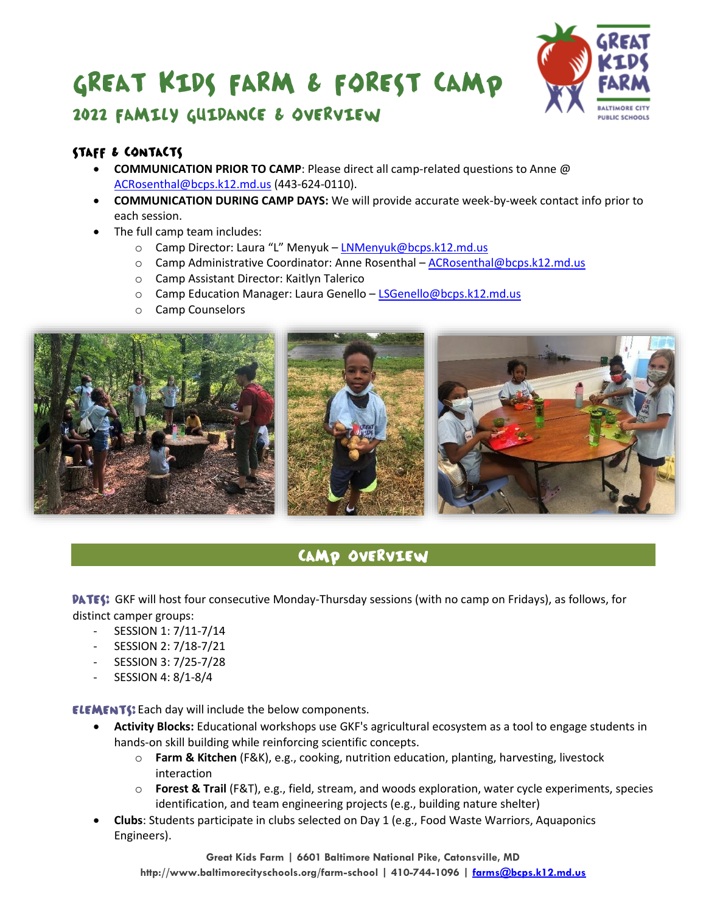

## 2022 FAMILY GUIDANCE & OVERVIEW

#### STAFF & CONTACTS

- **COMMUNICATION PRIOR TO CAMP**: Please direct all camp-related questions to Anne @ [ACRosenthal@bcps.k12.md.us](mailto:ACRosenthal@bcps.k12.md.us) (443-624-0110).
- **COMMUNICATION DURING CAMP DAYS:** We will provide accurate week-by-week contact info prior to each session.
- The full camp team includes:
	- o Camp Director: Laura "L" Menyuk [LNMenyuk@bcps.k12.md.us](mailto:LNMenyuk@bcps.k12.md.us)
	- o Camp Administrative Coordinator: Anne Rosenthal [ACRosenthal@bcps.k12.md.us](mailto:ACRosenthal@bcps.k12.md.us)
	- o Camp Assistant Director: Kaitlyn Talerico
	- o Camp Education Manager: Laura Genello [LSGenello@bcps.k12.md.us](mailto:LSGenello@bcps.k12.md.us)
	- o Camp Counselors



## CAMP OVERVIEW

**PATES:** GKF will host four consecutive Monday-Thursday sessions (with no camp on Fridays), as follows, for distinct camper groups:

- SESSION 1: 7/11-7/14
- SESSION 2: 7/18-7/21
- SESSION 3: 7/25-7/28
- SESSION 4: 8/1-8/4

**ELEMENTS:** Each day will include the below components.

- **Activity Blocks:** Educational workshops use GKF's agricultural ecosystem as a tool to engage students in hands-on skill building while reinforcing scientific concepts.
	- o **Farm & Kitchen** (F&K), e.g., cooking, nutrition education, planting, harvesting, livestock interaction
	- o **Forest & Trail** (F&T), e.g., field, stream, and woods exploration, water cycle experiments, species identification, and team engineering projects (e.g., building nature shelter)
- **Clubs**: Students participate in clubs selected on Day 1 (e.g., Food Waste Warriors, Aquaponics Engineers).

**Great Kids Farm | 6601 Baltimore National Pike, Catonsville, MD http://www.baltimorecityschools.org/farm-school | 410-744-1096 | [farms@bcps.k12.md.us](mailto:farms@bcps.k12.md.us)**